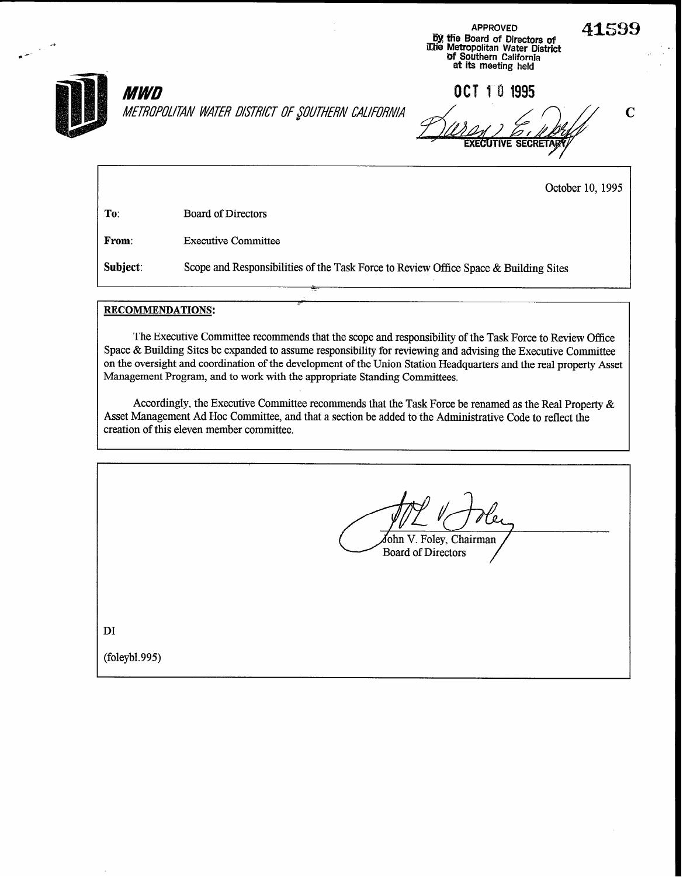

M.TBUPU~ITAN WATh? DWhW- OF \$WThFhW CAIIFO!~M C

APPROVED 4159 me bletropolitan Water District 0f Southern California at its meeting - held

APPROVED

**MWD** 661 10 1995

**EXECUTIVE SECRET** 

October 10, 1995

To: Board of Directors

From: Executive Committee

Subject: Scope and Responsibilities of the Task Force to Review Office Space & Building Sites

## RECOMMENDATIONS:

The Executive Committee recommends that the scope and responsibility of the Task Force to Review Office Space & Building Sites be expanded to assume responsibility for reviewing and advising the Executive Committee on the oversight and coordination of the development of the Union Station Headquarters and the real property Asset Management Program, and to work with the appropriate Standing Committees.

Accordingly, the Executive Committee recommends that the Task Force be renamed as the Real Property & Asset Management Ad Hoc Committee, and that a section be added to the Administrative Code to reflect the creation of this eleven member committee.

fohn V. Foley, Chairman **Board of Directors** 

DI

(foleybl. 995)